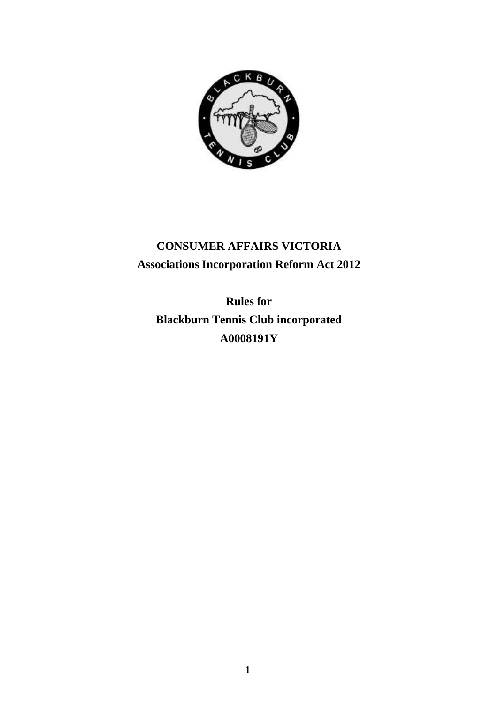

# **CONSUMER AFFAIRS VICTORIA Associations Incorporation Reform Act 2012**

**Rules for Blackburn Tennis Club incorporated A0008191Y**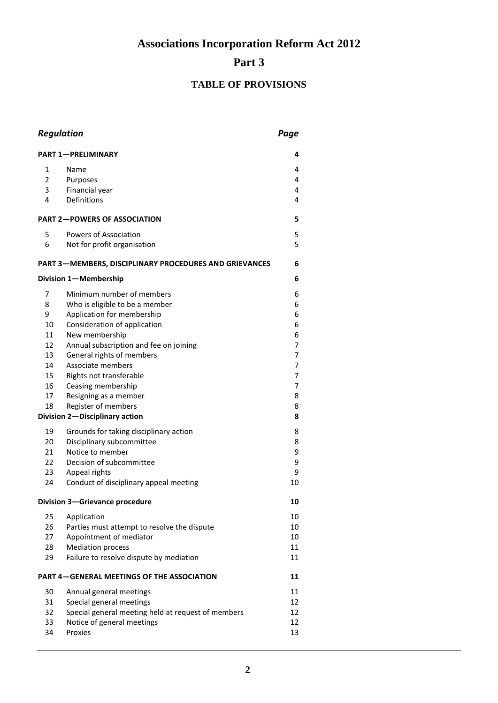**Associations Incorporation Reform Act 2012**

# **Part 3**

## **TABLE OF PROVISIONS**

| <b>Regulation</b>                                             |                                                    | Page   |  |
|---------------------------------------------------------------|----------------------------------------------------|--------|--|
| <b>PART 1-PRELIMINARY</b><br>4                                |                                                    |        |  |
| 1                                                             | Name                                               | 4      |  |
| $\overline{2}$                                                | Purposes                                           | 4      |  |
| 3                                                             | Financial year                                     | 4      |  |
| 4                                                             | Definitions                                        | 4      |  |
| <b>PART 2-POWERS OF ASSOCIATION</b>                           |                                                    | 5      |  |
| 5                                                             | Powers of Association                              | 5      |  |
| 6                                                             | Not for profit organisation                        | 5      |  |
| <b>PART 3-MEMBERS, DISCIPLINARY PROCEDURES AND GRIEVANCES</b> |                                                    |        |  |
|                                                               | Division 1-Membership                              | 6      |  |
| 7                                                             | Minimum number of members                          | 6      |  |
| 8                                                             | Who is eligible to be a member                     | 6      |  |
| 9                                                             | Application for membership                         | 6      |  |
| 10                                                            | Consideration of application                       | 6      |  |
| 11                                                            | New membership                                     | 6      |  |
| 12                                                            | Annual subscription and fee on joining             | 7      |  |
| 13                                                            | General rights of members                          | 7      |  |
| 14                                                            | Associate members                                  | 7      |  |
| 15<br>16                                                      | Rights not transferable                            | 7<br>7 |  |
| 17                                                            | Ceasing membership<br>Resigning as a member        | 8      |  |
| 18                                                            | Register of members                                | 8      |  |
| Division 2-Disciplinary action                                |                                                    | 8      |  |
| 19                                                            | Grounds for taking disciplinary action             | 8      |  |
| 20                                                            | Disciplinary subcommittee                          | 8      |  |
| 21                                                            | Notice to member                                   | 9      |  |
| 22                                                            | Decision of subcommittee                           | 9      |  |
| 23                                                            | Appeal rights                                      | 9      |  |
| 24                                                            | Conduct of disciplinary appeal meeting             | 10     |  |
| Division 3-Grievance procedure                                |                                                    | 10     |  |
| 25                                                            | Application                                        | 10     |  |
| 26                                                            | Parties must attempt to resolve the dispute        | 10     |  |
| 27                                                            | Appointment of mediator                            | 10     |  |
| 28                                                            | <b>Mediation process</b>                           | 11     |  |
| 29                                                            | Failure to resolve dispute by mediation            | 11     |  |
| <b>PART 4-GENERAL MEETINGS OF THE ASSOCIATION</b>             |                                                    | 11     |  |
| 30                                                            | Annual general meetings                            | 11     |  |
| 31                                                            | Special general meetings                           | 12     |  |
| 32                                                            | Special general meeting held at request of members | 12     |  |
| 33                                                            | Notice of general meetings                         | 12     |  |
| 34                                                            | Proxies                                            | 13     |  |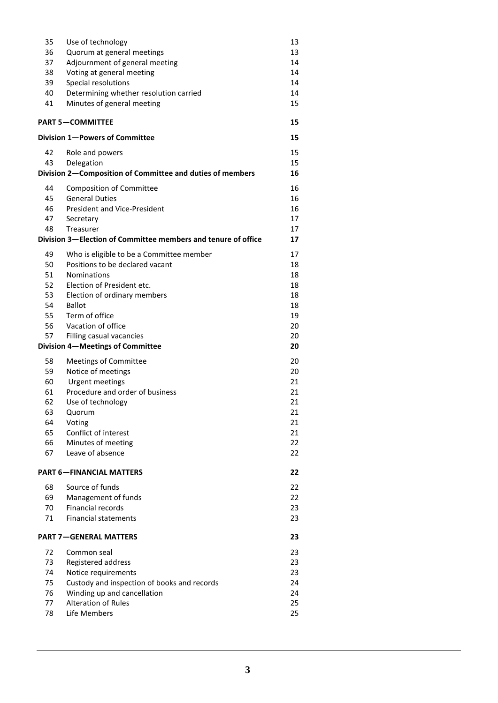| 35       | Use of technology                                             | 13       |
|----------|---------------------------------------------------------------|----------|
| 36       | Quorum at general meetings                                    | 13       |
| 37       | Adjournment of general meeting                                | 14       |
| 38       | Voting at general meeting                                     | 14       |
| 39       | Special resolutions                                           | 14       |
| 40       | Determining whether resolution carried                        | 14       |
| 41       | Minutes of general meeting                                    | 15       |
|          | <b>PART 5-COMMITTEE</b>                                       | 15       |
|          | Division 1-Powers of Committee                                | 15       |
| 42       | Role and powers                                               | 15       |
| 43       | Delegation                                                    | 15       |
|          | Division 2-Composition of Committee and duties of members     | 16       |
| 44       | <b>Composition of Committee</b>                               | 16       |
| 45       | <b>General Duties</b>                                         | 16       |
| 46       | <b>President and Vice-President</b>                           | 16       |
| 47       | Secretary                                                     | 17       |
| 48       | Treasurer                                                     | 17       |
|          | Division 3-Election of Committee members and tenure of office | 17       |
| 49       | Who is eligible to be a Committee member                      | 17       |
| 50       | Positions to be declared vacant                               | 18       |
| 51       | <b>Nominations</b>                                            | 18       |
| 52       | Election of President etc.                                    | 18       |
| 53       | Election of ordinary members                                  | 18       |
| 54<br>55 | <b>Ballot</b><br>Term of office                               | 18<br>19 |
| 56       | Vacation of office                                            | 20       |
| 57       | Filling casual vacancies                                      | 20       |
|          | Division 4-Meetings of Committee                              | 20       |
| 58       | <b>Meetings of Committee</b>                                  | 20       |
| 59       | Notice of meetings                                            | 20       |
| 60       | <b>Urgent meetings</b>                                        | 21       |
| 61       | Procedure and order of business                               | 21       |
| 62       | Use of technology                                             | 21       |
| 63       | Quorum                                                        | 21       |
| 64       | Voting                                                        | 21       |
| 65       | Conflict of interest                                          | 21       |
| 66       | Minutes of meeting                                            | 22       |
| 67       | Leave of absence                                              | 22       |
|          | <b>PART 6-FINANCIAL MATTERS</b>                               | 22       |
| 68       | Source of funds                                               | 22       |
| 69       | Management of funds                                           | 22       |
| 70       | <b>Financial records</b>                                      | 23       |
| 71       | <b>Financial statements</b>                                   | 23       |
|          | <b>PART 7-GENERAL MATTERS</b>                                 | 23       |
| 72       | Common seal                                                   | 23       |
| 73       | Registered address                                            | 23       |
| 74       | Notice requirements                                           | 23       |
| 75       | Custody and inspection of books and records                   | 24       |
| 76       | Winding up and cancellation                                   | 24       |
| 77       | <b>Alteration of Rules</b>                                    | 25       |
| 78       | Life Members                                                  | 25       |
|          |                                                               |          |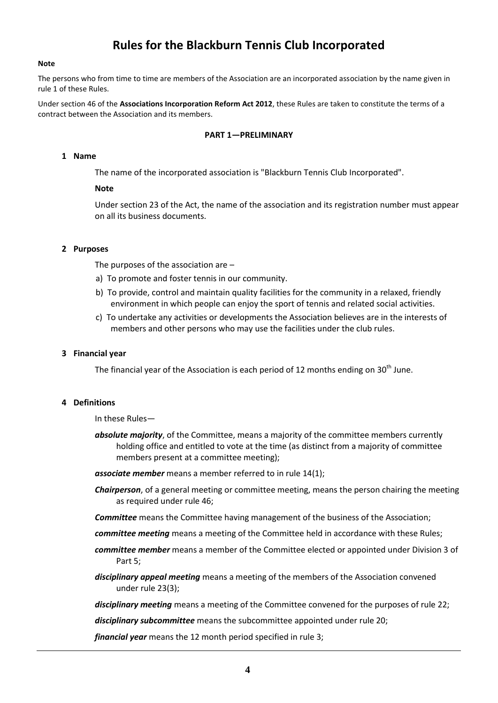## **Rules for the Blackburn Tennis Club Incorporated**

#### **Note**

The persons who from time to time are members of the Association are an incorporated association by the name given in rule 1 of these Rules.

Under section 46 of the **Associations Incorporation Reform Act 2012**, these Rules are taken to constitute the terms of a contract between the Association and its members.

#### **PART 1—PRELIMINARY**

#### **1 Name**

The name of the incorporated association is "Blackburn Tennis Club Incorporated".

#### **Note**

Under section 23 of the Act, the name of the association and its registration number must appear on all its business documents.

#### **2 Purposes**

The purposes of the association are –

- a) To promote and foster tennis in our community.
- b) To provide, control and maintain quality facilities for the community in a relaxed, friendly environment in which people can enjoy the sport of tennis and related social activities.
- c) To undertake any activities or developments the Association believes are in the interests of members and other persons who may use the facilities under the club rules.

#### **3 Financial year**

The financial year of the Association is each period of 12 months ending on  $30<sup>th</sup>$  June.

#### **4 Definitions**

In these Rules—

*absolute majority*, of the Committee, means a majority of the committee members currently holding office and entitled to vote at the time (as distinct from a majority of committee members present at a committee meeting);

*associate member* means a member referred to in rule 14(1);

- *Chairperson*, of a general meeting or committee meeting, means the person chairing the meeting as required under rule 46;
- *Committee* means the Committee having management of the business of the Association;
- *committee meeting* means a meeting of the Committee held in accordance with these Rules;
- *committee member* means a member of the Committee elected or appointed under Division 3 of Part 5;
- *disciplinary appeal meeting* means a meeting of the members of the Association convened under rule 23(3);
- *disciplinary meeting* means a meeting of the Committee convened for the purposes of rule 22;

*disciplinary subcommittee* means the subcommittee appointed under rule 20;

*financial year* means the 12 month period specified in rule 3;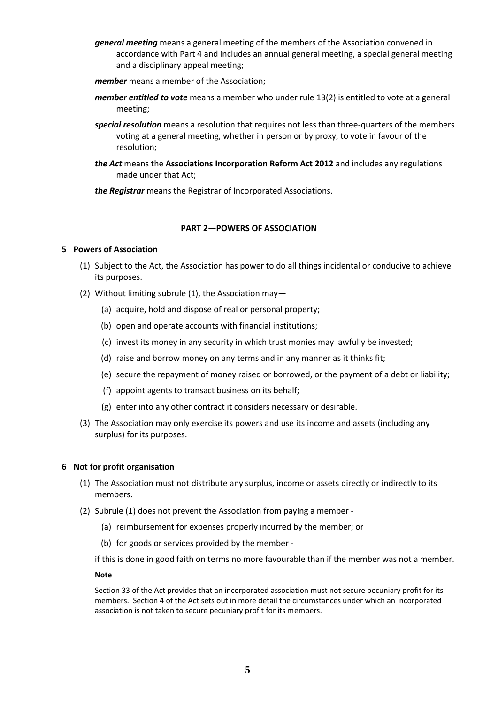- *general meeting* means a general meeting of the members of the Association convened in accordance with Part 4 and includes an annual general meeting, a special general meeting and a disciplinary appeal meeting;
- *member* means a member of the Association;
- *member entitled to vote* means a member who under rule 13(2) is entitled to vote at a general meeting;
- *special resolution* means a resolution that requires not less than three-quarters of the members voting at a general meeting, whether in person or by proxy, to vote in favour of the resolution;
- *the Act* means the **Associations Incorporation Reform Act 2012** and includes any regulations made under that Act;

*the Registrar* means the Registrar of Incorporated Associations.

#### **PART 2—POWERS OF ASSOCIATION**

#### **5 Powers of Association**

- (1) Subject to the Act, the Association has power to do all things incidental or conducive to achieve its purposes.
- (2) Without limiting subrule (1), the Association may—
	- (a) acquire, hold and dispose of real or personal property;
	- (b) open and operate accounts with financial institutions;
	- (c) invest its money in any security in which trust monies may lawfully be invested;
	- (d) raise and borrow money on any terms and in any manner as it thinks fit;
	- (e) secure the repayment of money raised or borrowed, or the payment of a debt or liability;
	- (f) appoint agents to transact business on its behalf;
	- (g) enter into any other contract it considers necessary or desirable.
- (3) The Association may only exercise its powers and use its income and assets (including any surplus) for its purposes.

#### **6 Not for profit organisation**

- (1) The Association must not distribute any surplus, income or assets directly or indirectly to its members.
- (2) Subrule (1) does not prevent the Association from paying a member
	- (a) reimbursement for expenses properly incurred by the member; or
	- (b) for goods or services provided by the member -

if this is done in good faith on terms no more favourable than if the member was not a member.

#### **Note**

Section 33 of the Act provides that an incorporated association must not secure pecuniary profit for its members. Section 4 of the Act sets out in more detail the circumstances under which an incorporated association is not taken to secure pecuniary profit for its members.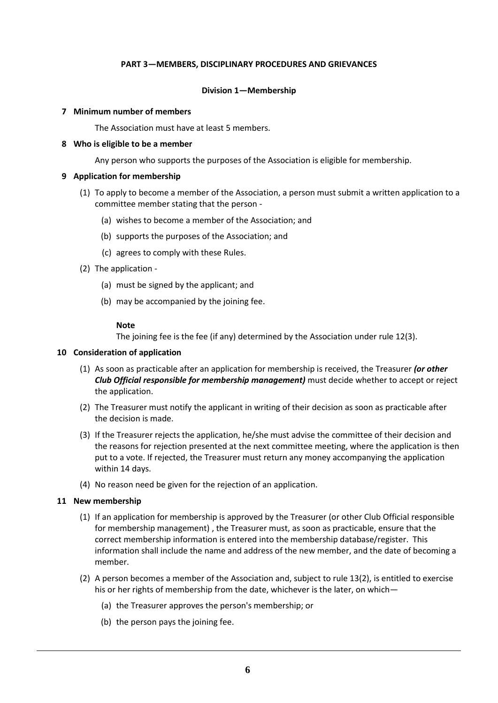#### **PART 3—MEMBERS, DISCIPLINARY PROCEDURES AND GRIEVANCES**

#### **Division 1—Membership**

#### **7 Minimum number of members**

The Association must have at least 5 members.

## **8 Who is eligible to be a member**

Any person who supports the purposes of the Association is eligible for membership.

## **9 Application for membership**

- (1) To apply to become a member of the Association, a person must submit a written application to a committee member stating that the person -
	- (a) wishes to become a member of the Association; and
	- (b) supports the purposes of the Association; and
	- (c) agrees to comply with these Rules.
- (2) The application
	- (a) must be signed by the applicant; and
	- (b) may be accompanied by the joining fee.

## **Note**

The joining fee is the fee (if any) determined by the Association under rule 12(3).

#### **10 Consideration of application**

- (1) As soon as practicable after an application for membership is received, the Treasurer *(or other Club Official responsible for membership management)* must decide whether to accept or reject the application.
- (2) The Treasurer must notify the applicant in writing of their decision as soon as practicable after the decision is made.
- (3) If the Treasurer rejects the application, he/she must advise the committee of their decision and the reasons for rejection presented at the next committee meeting, where the application is then put to a vote. If rejected, the Treasurer must return any money accompanying the application within 14 days.
- (4) No reason need be given for the rejection of an application.

## **11 New membership**

- (1) If an application for membership is approved by the Treasurer (or other Club Official responsible for membership management) , the Treasurer must, as soon as practicable, ensure that the correct membership information is entered into the membership database/register. This information shall include the name and address of the new member, and the date of becoming a member.
- (2) A person becomes a member of the Association and, subject to rule 13(2), is entitled to exercise his or her rights of membership from the date, whichever is the later, on which—
	- (a) the Treasurer approves the person's membership; or
	- (b) the person pays the joining fee.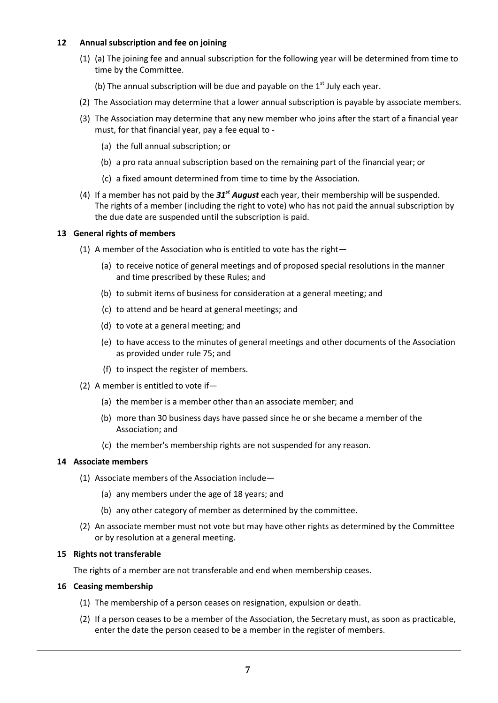#### **12 Annual subscription and fee on joining**

- (1) (a) The joining fee and annual subscription for the following year will be determined from time to time by the Committee.
	- (b) The annual subscription will be due and payable on the  $1<sup>st</sup>$  July each year.
- (2) The Association may determine that a lower annual subscription is payable by associate members.
- (3) The Association may determine that any new member who joins after the start of a financial year must, for that financial year, pay a fee equal to -
	- (a) the full annual subscription; or
	- (b) a pro rata annual subscription based on the remaining part of the financial year; or
	- (c) a fixed amount determined from time to time by the Association.
- (4) If a member has not paid by the *31st August* each year, their membership will be suspended. The rights of a member (including the right to vote) who has not paid the annual subscription by the due date are suspended until the subscription is paid.

## **13 General rights of members**

- (1) A member of the Association who is entitled to vote has the right—
	- (a) to receive notice of general meetings and of proposed special resolutions in the manner and time prescribed by these Rules; and
	- (b) to submit items of business for consideration at a general meeting; and
	- (c) to attend and be heard at general meetings; and
	- (d) to vote at a general meeting; and
	- (e) to have access to the minutes of general meetings and other documents of the Association as provided under rule 75; and
	- (f) to inspect the register of members.
- (2) A member is entitled to vote if—
	- (a) the member is a member other than an associate member; and
	- (b) more than 30 business days have passed since he or she became a member of the Association; and
	- (c) the member's membership rights are not suspended for any reason.

#### **14 Associate members**

- (1) Associate members of the Association include—
	- (a) any members under the age of 18 years; and
	- (b) any other category of member as determined by the committee.
- (2) An associate member must not vote but may have other rights as determined by the Committee or by resolution at a general meeting.

## **15 Rights not transferable**

The rights of a member are not transferable and end when membership ceases.

#### **16 Ceasing membership**

- (1) The membership of a person ceases on resignation, expulsion or death.
- (2) If a person ceases to be a member of the Association, the Secretary must, as soon as practicable, enter the date the person ceased to be a member in the register of members.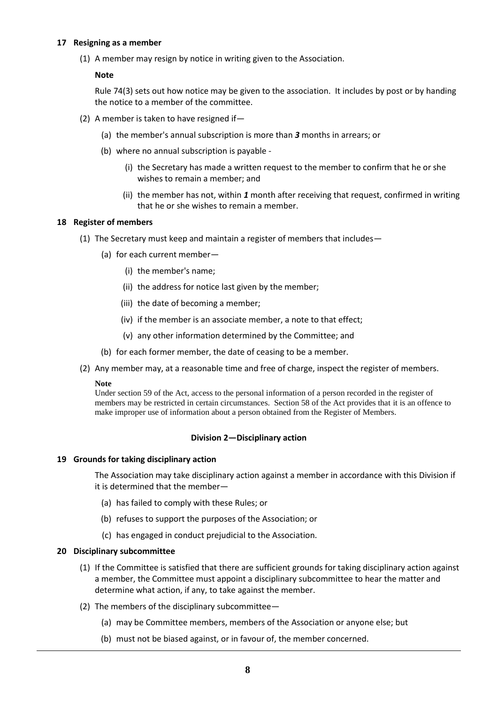#### **17 Resigning as a member**

(1) A member may resign by notice in writing given to the Association.

#### **Note**

Rule 74(3) sets out how notice may be given to the association. It includes by post or by handing the notice to a member of the committee.

- (2) A member is taken to have resigned if—
	- (a) the member's annual subscription is more than *3* months in arrears; or
	- (b) where no annual subscription is payable
		- (i) the Secretary has made a written request to the member to confirm that he or she wishes to remain a member; and
		- (ii) the member has not, within *1* month after receiving that request, confirmed in writing that he or she wishes to remain a member.

#### **18 Register of members**

- (1) The Secretary must keep and maintain a register of members that includes—
	- (a) for each current member—
		- (i) the member's name;
		- (ii) the address for notice last given by the member;
		- (iii) the date of becoming a member;
		- (iv) if the member is an associate member, a note to that effect;
		- (v) any other information determined by the Committee; and
	- (b) for each former member, the date of ceasing to be a member.
- (2) Any member may, at a reasonable time and free of charge, inspect the register of members.

#### **Note**

Under section 59 of the Act, access to the personal information of a person recorded in the register of members may be restricted in certain circumstances. Section 58 of the Act provides that it is an offence to make improper use of information about a person obtained from the Register of Members.

#### **Division 2—Disciplinary action**

#### **19 Grounds for taking disciplinary action**

The Association may take disciplinary action against a member in accordance with this Division if it is determined that the member—

- (a) has failed to comply with these Rules; or
- (b) refuses to support the purposes of the Association; or
- (c) has engaged in conduct prejudicial to the Association.

#### **20 Disciplinary subcommittee**

- (1) If the Committee is satisfied that there are sufficient grounds for taking disciplinary action against a member, the Committee must appoint a disciplinary subcommittee to hear the matter and determine what action, if any, to take against the member.
- (2) The members of the disciplinary subcommittee—
	- (a) may be Committee members, members of the Association or anyone else; but
	- (b) must not be biased against, or in favour of, the member concerned.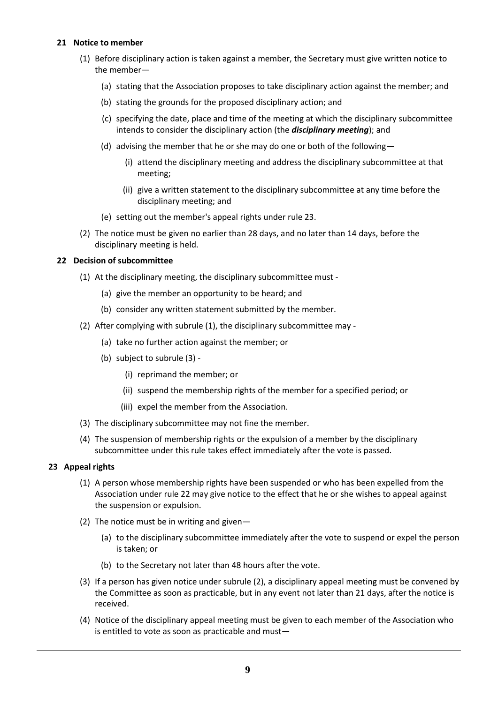#### **21 Notice to member**

- (1) Before disciplinary action is taken against a member, the Secretary must give written notice to the member—
	- (a) stating that the Association proposes to take disciplinary action against the member; and
	- (b) stating the grounds for the proposed disciplinary action; and
	- (c) specifying the date, place and time of the meeting at which the disciplinary subcommittee intends to consider the disciplinary action (the *disciplinary meeting*); and
	- (d) advising the member that he or she may do one or both of the following—
		- (i) attend the disciplinary meeting and address the disciplinary subcommittee at that meeting;
		- (ii) give a written statement to the disciplinary subcommittee at any time before the disciplinary meeting; and
	- (e) setting out the member's appeal rights under rule 23.
- (2) The notice must be given no earlier than 28 days, and no later than 14 days, before the disciplinary meeting is held.

#### **22 Decision of subcommittee**

- (1) At the disciplinary meeting, the disciplinary subcommittee must
	- (a) give the member an opportunity to be heard; and
	- (b) consider any written statement submitted by the member.
- (2) After complying with subrule (1), the disciplinary subcommittee may
	- (a) take no further action against the member; or
	- (b) subject to subrule (3)
		- (i) reprimand the member; or
		- (ii) suspend the membership rights of the member for a specified period; or
		- (iii) expel the member from the Association.
- (3) The disciplinary subcommittee may not fine the member.
- (4) The suspension of membership rights or the expulsion of a member by the disciplinary subcommittee under this rule takes effect immediately after the vote is passed.

#### **23 Appeal rights**

- (1) A person whose membership rights have been suspended or who has been expelled from the Association under rule 22 may give notice to the effect that he or she wishes to appeal against the suspension or expulsion.
- (2) The notice must be in writing and given—
	- (a) to the disciplinary subcommittee immediately after the vote to suspend or expel the person is taken; or
	- (b) to the Secretary not later than 48 hours after the vote.
- (3) If a person has given notice under subrule (2), a disciplinary appeal meeting must be convened by the Committee as soon as practicable, but in any event not later than 21 days, after the notice is received.
- (4) Notice of the disciplinary appeal meeting must be given to each member of the Association who is entitled to vote as soon as practicable and must—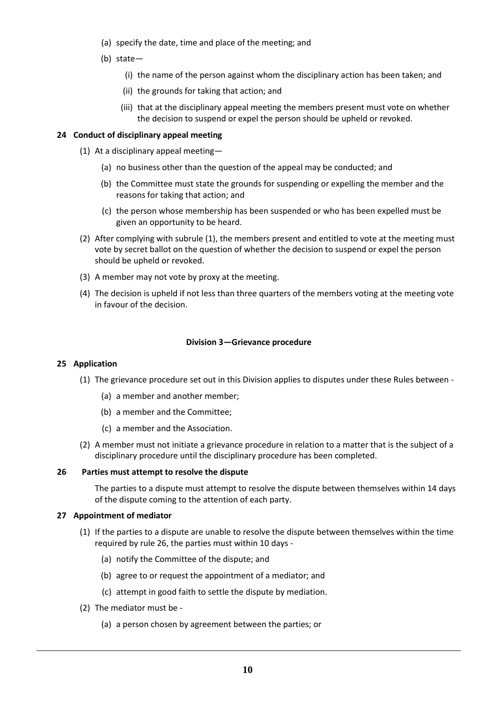- (a) specify the date, time and place of the meeting; and
- (b) state—
	- (i) the name of the person against whom the disciplinary action has been taken; and
	- (ii) the grounds for taking that action; and
	- (iii) that at the disciplinary appeal meeting the members present must vote on whether the decision to suspend or expel the person should be upheld or revoked.

## **24 Conduct of disciplinary appeal meeting**

- (1) At a disciplinary appeal meeting—
	- (a) no business other than the question of the appeal may be conducted; and
	- (b) the Committee must state the grounds for suspending or expelling the member and the reasons for taking that action; and
	- (c) the person whose membership has been suspended or who has been expelled must be given an opportunity to be heard.
- (2) After complying with subrule (1), the members present and entitled to vote at the meeting must vote by secret ballot on the question of whether the decision to suspend or expel the person should be upheld or revoked.
- (3) A member may not vote by proxy at the meeting.
- (4) The decision is upheld if not less than three quarters of the members voting at the meeting vote in favour of the decision.

## **Division 3—Grievance procedure**

#### **25 Application**

- (1) The grievance procedure set out in this Division applies to disputes under these Rules between
	- (a) a member and another member;
	- (b) a member and the Committee;
	- (c) a member and the Association.
- (2) A member must not initiate a grievance procedure in relation to a matter that is the subject of a disciplinary procedure until the disciplinary procedure has been completed.

#### **26 Parties must attempt to resolve the dispute**

The parties to a dispute must attempt to resolve the dispute between themselves within 14 days of the dispute coming to the attention of each party.

#### **27 Appointment of mediator**

- (1) If the parties to a dispute are unable to resolve the dispute between themselves within the time required by rule 26, the parties must within 10 days -
	- (a) notify the Committee of the dispute; and
	- (b) agree to or request the appointment of a mediator; and
	- (c) attempt in good faith to settle the dispute by mediation.
- (2) The mediator must be
	- (a) a person chosen by agreement between the parties; or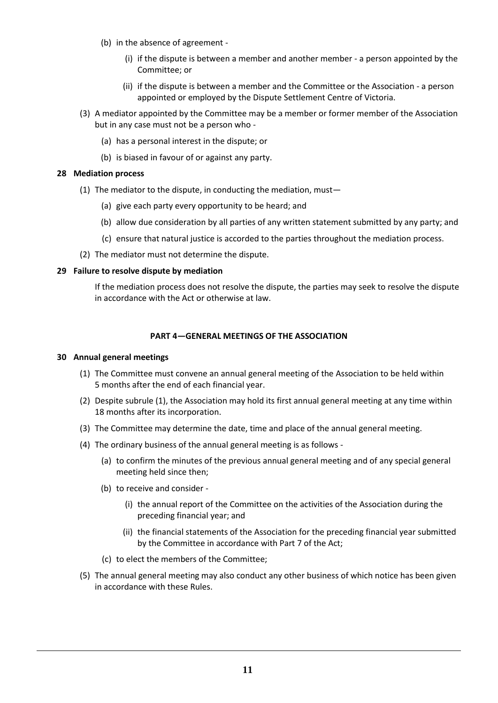- (b) in the absence of agreement
	- (i) if the dispute is between a member and another member a person appointed by the Committee; or
	- (ii) if the dispute is between a member and the Committee or the Association a person appointed or employed by the Dispute Settlement Centre of Victoria.
- (3) A mediator appointed by the Committee may be a member or former member of the Association but in any case must not be a person who -
	- (a) has a personal interest in the dispute; or
	- (b) is biased in favour of or against any party.

## **28 Mediation process**

- (1) The mediator to the dispute, in conducting the mediation, must—
	- (a) give each party every opportunity to be heard; and
	- (b) allow due consideration by all parties of any written statement submitted by any party; and
	- (c) ensure that natural justice is accorded to the parties throughout the mediation process.
- (2) The mediator must not determine the dispute.

## **29 Failure to resolve dispute by mediation**

If the mediation process does not resolve the dispute, the parties may seek to resolve the dispute in accordance with the Act or otherwise at law.

## **PART 4—GENERAL MEETINGS OF THE ASSOCIATION**

#### **30 Annual general meetings**

- (1) The Committee must convene an annual general meeting of the Association to be held within 5 months after the end of each financial year.
- (2) Despite subrule (1), the Association may hold its first annual general meeting at any time within 18 months after its incorporation.
- (3) The Committee may determine the date, time and place of the annual general meeting.
- (4) The ordinary business of the annual general meeting is as follows
	- (a) to confirm the minutes of the previous annual general meeting and of any special general meeting held since then;
	- (b) to receive and consider
		- (i) the annual report of the Committee on the activities of the Association during the preceding financial year; and
		- (ii) the financial statements of the Association for the preceding financial year submitted by the Committee in accordance with Part 7 of the Act;
	- (c) to elect the members of the Committee;
- (5) The annual general meeting may also conduct any other business of which notice has been given in accordance with these Rules.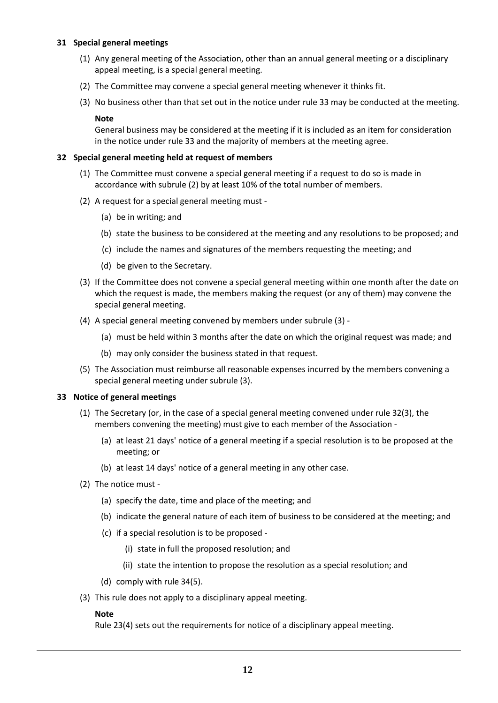#### **31 Special general meetings**

- (1) Any general meeting of the Association, other than an annual general meeting or a disciplinary appeal meeting, is a special general meeting.
- (2) The Committee may convene a special general meeting whenever it thinks fit.
- (3) No business other than that set out in the notice under rule 33 may be conducted at the meeting.

#### **Note**

General business may be considered at the meeting if it is included as an item for consideration in the notice under rule 33 and the majority of members at the meeting agree.

## **32 Special general meeting held at request of members**

- (1) The Committee must convene a special general meeting if a request to do so is made in accordance with subrule (2) by at least 10% of the total number of members.
- (2) A request for a special general meeting must
	- (a) be in writing; and
	- (b) state the business to be considered at the meeting and any resolutions to be proposed; and
	- (c) include the names and signatures of the members requesting the meeting; and
	- (d) be given to the Secretary.
- (3) If the Committee does not convene a special general meeting within one month after the date on which the request is made, the members making the request (or any of them) may convene the special general meeting.
- (4) A special general meeting convened by members under subrule (3)
	- (a) must be held within 3 months after the date on which the original request was made; and
	- (b) may only consider the business stated in that request.
- (5) The Association must reimburse all reasonable expenses incurred by the members convening a special general meeting under subrule (3).

#### **33 Notice of general meetings**

- (1) The Secretary (or, in the case of a special general meeting convened under rule 32(3), the members convening the meeting) must give to each member of the Association -
	- (a) at least 21 days' notice of a general meeting if a special resolution is to be proposed at the meeting; or
	- (b) at least 14 days' notice of a general meeting in any other case.
- (2) The notice must
	- (a) specify the date, time and place of the meeting; and
	- (b) indicate the general nature of each item of business to be considered at the meeting; and
	- (c) if a special resolution is to be proposed
		- (i) state in full the proposed resolution; and
		- (ii) state the intention to propose the resolution as a special resolution; and
	- (d) comply with rule 34(5).
- (3) This rule does not apply to a disciplinary appeal meeting.

#### **Note**

Rule 23(4) sets out the requirements for notice of a disciplinary appeal meeting.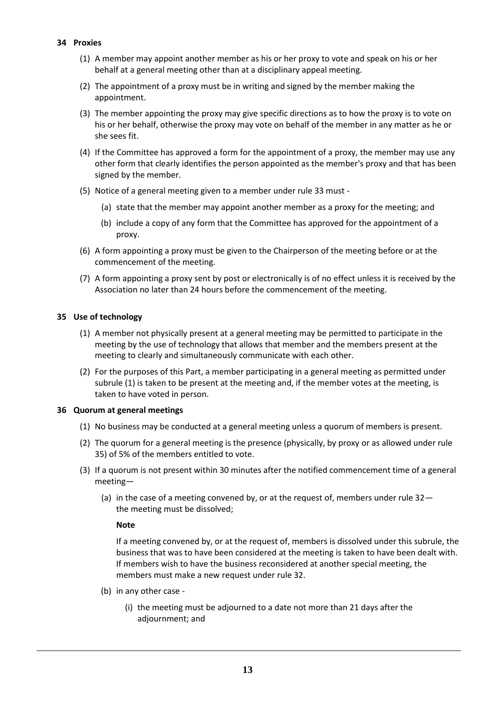## **34 Proxies**

- (1) A member may appoint another member as his or her proxy to vote and speak on his or her behalf at a general meeting other than at a disciplinary appeal meeting.
- (2) The appointment of a proxy must be in writing and signed by the member making the appointment.
- (3) The member appointing the proxy may give specific directions as to how the proxy is to vote on his or her behalf, otherwise the proxy may vote on behalf of the member in any matter as he or she sees fit.
- (4) If the Committee has approved a form for the appointment of a proxy, the member may use any other form that clearly identifies the person appointed as the member's proxy and that has been signed by the member.
- (5) Notice of a general meeting given to a member under rule 33 must
	- (a) state that the member may appoint another member as a proxy for the meeting; and
	- (b) include a copy of any form that the Committee has approved for the appointment of a proxy.
- (6) A form appointing a proxy must be given to the Chairperson of the meeting before or at the commencement of the meeting.
- (7) A form appointing a proxy sent by post or electronically is of no effect unless it is received by the Association no later than 24 hours before the commencement of the meeting.

## **35 Use of technology**

- (1) A member not physically present at a general meeting may be permitted to participate in the meeting by the use of technology that allows that member and the members present at the meeting to clearly and simultaneously communicate with each other.
- (2) For the purposes of this Part, a member participating in a general meeting as permitted under subrule (1) is taken to be present at the meeting and, if the member votes at the meeting, is taken to have voted in person.

#### **36 Quorum at general meetings**

- (1) No business may be conducted at a general meeting unless a quorum of members is present.
- (2) The quorum for a general meeting is the presence (physically, by proxy or as allowed under rule 35) of 5% of the members entitled to vote.
- (3) If a quorum is not present within 30 minutes after the notified commencement time of a general meeting—
	- (a) in the case of a meeting convened by, or at the request of, members under rule 32 the meeting must be dissolved;

#### **Note**

If a meeting convened by, or at the request of, members is dissolved under this subrule, the business that was to have been considered at the meeting is taken to have been dealt with. If members wish to have the business reconsidered at another special meeting, the members must make a new request under rule 32.

- (b) in any other case
	- (i) the meeting must be adjourned to a date not more than 21 days after the adjournment; and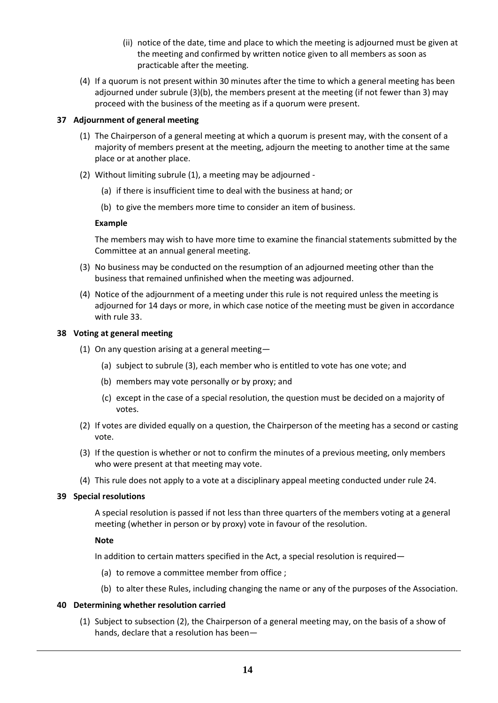- (ii) notice of the date, time and place to which the meeting is adjourned must be given at the meeting and confirmed by written notice given to all members as soon as practicable after the meeting.
- (4) If a quorum is not present within 30 minutes after the time to which a general meeting has been adjourned under subrule (3)(b), the members present at the meeting (if not fewer than 3) may proceed with the business of the meeting as if a quorum were present.

## **37 Adjournment of general meeting**

- (1) The Chairperson of a general meeting at which a quorum is present may, with the consent of a majority of members present at the meeting, adjourn the meeting to another time at the same place or at another place.
- (2) Without limiting subrule (1), a meeting may be adjourned
	- (a) if there is insufficient time to deal with the business at hand; or
	- (b) to give the members more time to consider an item of business.

## **Example**

The members may wish to have more time to examine the financial statements submitted by the Committee at an annual general meeting.

- (3) No business may be conducted on the resumption of an adjourned meeting other than the business that remained unfinished when the meeting was adjourned.
- (4) Notice of the adjournment of a meeting under this rule is not required unless the meeting is adjourned for 14 days or more, in which case notice of the meeting must be given in accordance with rule 33.

#### **38 Voting at general meeting**

- (1) On any question arising at a general meeting—
	- (a) subject to subrule (3), each member who is entitled to vote has one vote; and
	- (b) members may vote personally or by proxy; and
	- (c) except in the case of a special resolution, the question must be decided on a majority of votes.
- (2) If votes are divided equally on a question, the Chairperson of the meeting has a second or casting vote.
- (3) If the question is whether or not to confirm the minutes of a previous meeting, only members who were present at that meeting may vote.
- (4) This rule does not apply to a vote at a disciplinary appeal meeting conducted under rule 24.

#### **39 Special resolutions**

A special resolution is passed if not less than three quarters of the members voting at a general meeting (whether in person or by proxy) vote in favour of the resolution.

#### **Note**

In addition to certain matters specified in the Act, a special resolution is required—

- (a) to remove a committee member from office ;
- (b) to alter these Rules, including changing the name or any of the purposes of the Association.

#### **40 Determining whether resolution carried**

(1) Subject to subsection (2), the Chairperson of a general meeting may, on the basis of a show of hands, declare that a resolution has been—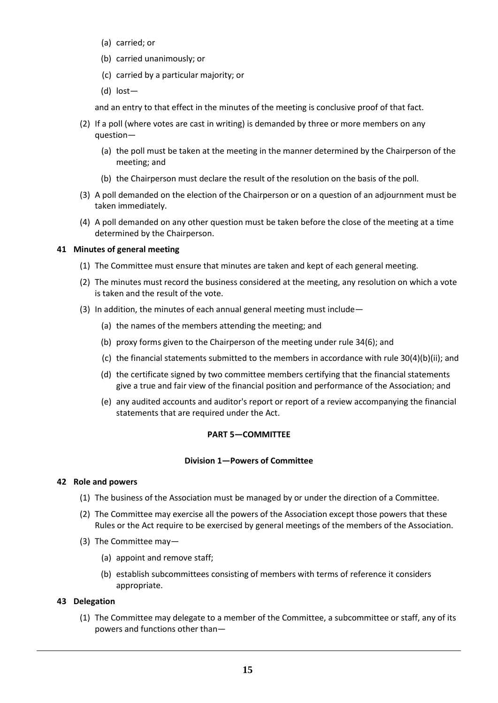- (a) carried; or
- (b) carried unanimously; or
- (c) carried by a particular majority; or
- (d) lost—

and an entry to that effect in the minutes of the meeting is conclusive proof of that fact.

- (2) If a poll (where votes are cast in writing) is demanded by three or more members on any question—
	- (a) the poll must be taken at the meeting in the manner determined by the Chairperson of the meeting; and
	- (b) the Chairperson must declare the result of the resolution on the basis of the poll.
- (3) A poll demanded on the election of the Chairperson or on a question of an adjournment must be taken immediately.
- (4) A poll demanded on any other question must be taken before the close of the meeting at a time determined by the Chairperson.

## **41 Minutes of general meeting**

- (1) The Committee must ensure that minutes are taken and kept of each general meeting.
- (2) The minutes must record the business considered at the meeting, any resolution on which a vote is taken and the result of the vote.
- (3) In addition, the minutes of each annual general meeting must include—
	- (a) the names of the members attending the meeting; and
	- (b) proxy forms given to the Chairperson of the meeting under rule 34(6); and
	- (c) the financial statements submitted to the members in accordance with rule 30(4)(b)(ii); and
	- (d) the certificate signed by two committee members certifying that the financial statements give a true and fair view of the financial position and performance of the Association; and
	- (e) any audited accounts and auditor's report or report of a review accompanying the financial statements that are required under the Act.

#### **PART 5—COMMITTEE**

#### **Division 1—Powers of Committee**

#### **42 Role and powers**

- (1) The business of the Association must be managed by or under the direction of a Committee.
- (2) The Committee may exercise all the powers of the Association except those powers that these Rules or the Act require to be exercised by general meetings of the members of the Association.
- (3) The Committee may—
	- (a) appoint and remove staff;
	- (b) establish subcommittees consisting of members with terms of reference it considers appropriate.

#### **43 Delegation**

(1) The Committee may delegate to a member of the Committee, a subcommittee or staff, any of its powers and functions other than—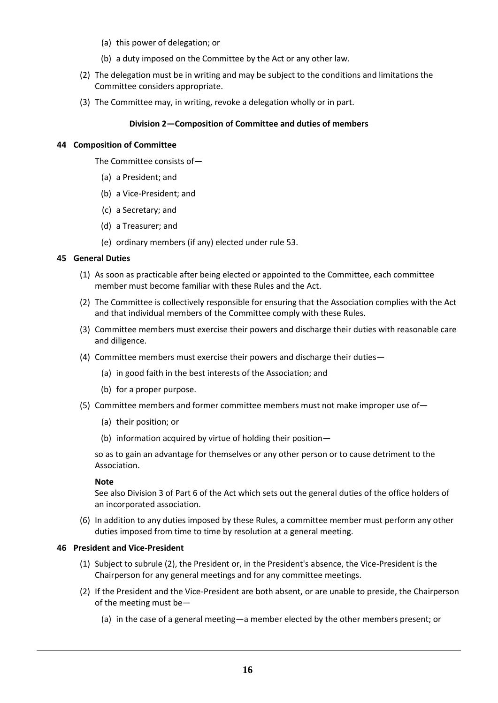- (a) this power of delegation; or
- (b) a duty imposed on the Committee by the Act or any other law.
- (2) The delegation must be in writing and may be subject to the conditions and limitations the Committee considers appropriate.
- (3) The Committee may, in writing, revoke a delegation wholly or in part.

## **Division 2—Composition of Committee and duties of members**

#### **44 Composition of Committee**

The Committee consists of—

- (a) a President; and
- (b) a Vice-President; and
- (c) a Secretary; and
- (d) a Treasurer; and
- (e) ordinary members (if any) elected under rule 53.

## **45 General Duties**

- (1) As soon as practicable after being elected or appointed to the Committee, each committee member must become familiar with these Rules and the Act.
- (2) The Committee is collectively responsible for ensuring that the Association complies with the Act and that individual members of the Committee comply with these Rules.
- (3) Committee members must exercise their powers and discharge their duties with reasonable care and diligence.
- (4) Committee members must exercise their powers and discharge their duties—
	- (a) in good faith in the best interests of the Association; and
	- (b) for a proper purpose.
- (5) Committee members and former committee members must not make improper use of—
	- (a) their position; or
	- (b) information acquired by virtue of holding their position—

so as to gain an advantage for themselves or any other person or to cause detriment to the Association.

#### **Note**

See also Division 3 of Part 6 of the Act which sets out the general duties of the office holders of an incorporated association.

(6) In addition to any duties imposed by these Rules, a committee member must perform any other duties imposed from time to time by resolution at a general meeting.

## **46 President and Vice-President**

- (1) Subject to subrule (2), the President or, in the President's absence, the Vice-President is the Chairperson for any general meetings and for any committee meetings.
- (2) If the President and the Vice-President are both absent, or are unable to preside, the Chairperson of the meeting must be—
	- (a) in the case of a general meeting—a member elected by the other members present; or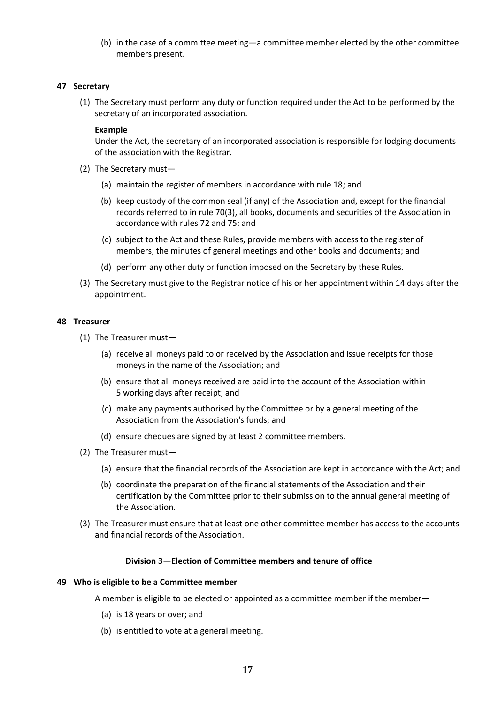(b) in the case of a committee meeting—a committee member elected by the other committee members present.

#### **47 Secretary**

(1) The Secretary must perform any duty or function required under the Act to be performed by the secretary of an incorporated association.

#### **Example**

Under the Act, the secretary of an incorporated association is responsible for lodging documents of the association with the Registrar.

- (2) The Secretary must—
	- (a) maintain the register of members in accordance with rule 18; and
	- (b) keep custody of the common seal (if any) of the Association and, except for the financial records referred to in rule 70(3), all books, documents and securities of the Association in accordance with rules 72 and 75; and
	- (c) subject to the Act and these Rules, provide members with access to the register of members, the minutes of general meetings and other books and documents; and
	- (d) perform any other duty or function imposed on the Secretary by these Rules.
- (3) The Secretary must give to the Registrar notice of his or her appointment within 14 days after the appointment.

#### **48 Treasurer**

- (1) The Treasurer must—
	- (a) receive all moneys paid to or received by the Association and issue receipts for those moneys in the name of the Association; and
	- (b) ensure that all moneys received are paid into the account of the Association within 5 working days after receipt; and
	- (c) make any payments authorised by the Committee or by a general meeting of the Association from the Association's funds; and
	- (d) ensure cheques are signed by at least 2 committee members.
- (2) The Treasurer must—
	- (a) ensure that the financial records of the Association are kept in accordance with the Act; and
	- (b) coordinate the preparation of the financial statements of the Association and their certification by the Committee prior to their submission to the annual general meeting of the Association.
- (3) The Treasurer must ensure that at least one other committee member has access to the accounts and financial records of the Association.

#### **Division 3—Election of Committee members and tenure of office**

#### **49 Who is eligible to be a Committee member**

A member is eligible to be elected or appointed as a committee member if the member—

- (a) is 18 years or over; and
- (b) is entitled to vote at a general meeting.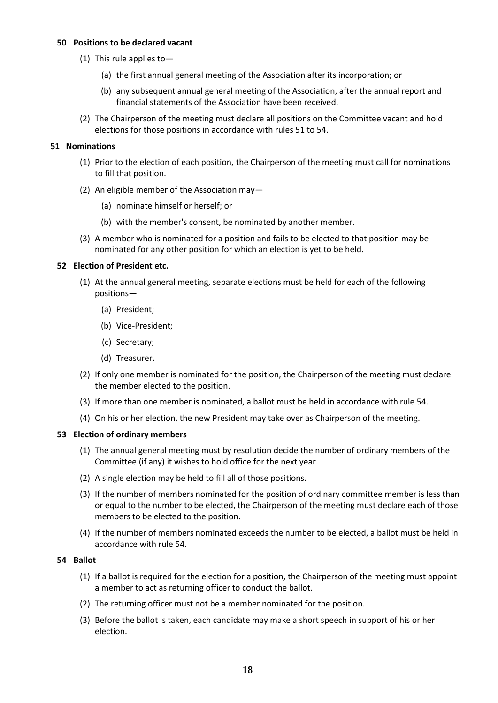#### **50 Positions to be declared vacant**

- (1) This rule applies to—
	- (a) the first annual general meeting of the Association after its incorporation; or
	- (b) any subsequent annual general meeting of the Association, after the annual report and financial statements of the Association have been received.
- (2) The Chairperson of the meeting must declare all positions on the Committee vacant and hold elections for those positions in accordance with rules 51 to 54.

#### **51 Nominations**

- (1) Prior to the election of each position, the Chairperson of the meeting must call for nominations to fill that position.
- (2) An eligible member of the Association may—
	- (a) nominate himself or herself; or
	- (b) with the member's consent, be nominated by another member.
- (3) A member who is nominated for a position and fails to be elected to that position may be nominated for any other position for which an election is yet to be held.

#### **52 Election of President etc.**

- (1) At the annual general meeting, separate elections must be held for each of the following positions—
	- (a) President;
	- (b) Vice-President;
	- (c) Secretary;
	- (d) Treasurer.
- (2) If only one member is nominated for the position, the Chairperson of the meeting must declare the member elected to the position.
- (3) If more than one member is nominated, a ballot must be held in accordance with rule 54.
- (4) On his or her election, the new President may take over as Chairperson of the meeting.

#### **53 Election of ordinary members**

- (1) The annual general meeting must by resolution decide the number of ordinary members of the Committee (if any) it wishes to hold office for the next year.
- (2) A single election may be held to fill all of those positions.
- (3) If the number of members nominated for the position of ordinary committee member is less than or equal to the number to be elected, the Chairperson of the meeting must declare each of those members to be elected to the position.
- (4) If the number of members nominated exceeds the number to be elected, a ballot must be held in accordance with rule 54.

#### **54 Ballot**

- (1) If a ballot is required for the election for a position, the Chairperson of the meeting must appoint a member to act as returning officer to conduct the ballot.
- (2) The returning officer must not be a member nominated for the position.
- (3) Before the ballot is taken, each candidate may make a short speech in support of his or her election.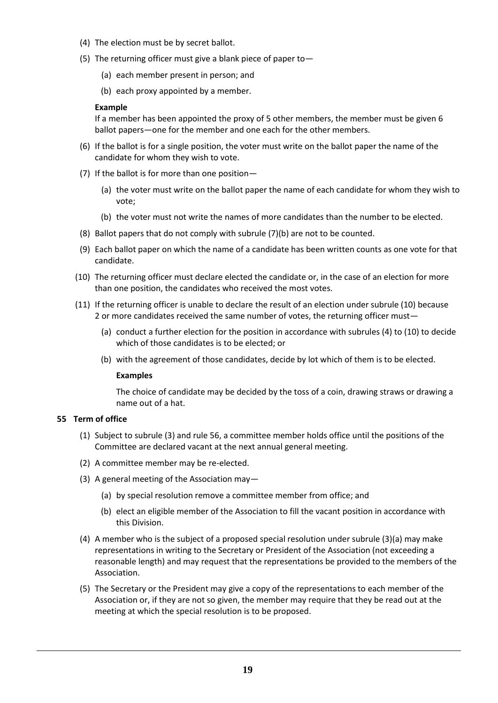- (4) The election must be by secret ballot.
- (5) The returning officer must give a blank piece of paper to—
	- (a) each member present in person; and
	- (b) each proxy appointed by a member.

#### **Example**

If a member has been appointed the proxy of 5 other members, the member must be given 6 ballot papers—one for the member and one each for the other members.

- (6) If the ballot is for a single position, the voter must write on the ballot paper the name of the candidate for whom they wish to vote.
- (7) If the ballot is for more than one position—
	- (a) the voter must write on the ballot paper the name of each candidate for whom they wish to vote;
	- (b) the voter must not write the names of more candidates than the number to be elected.
- (8) Ballot papers that do not comply with subrule (7)(b) are not to be counted.
- (9) Each ballot paper on which the name of a candidate has been written counts as one vote for that candidate.
- (10) The returning officer must declare elected the candidate or, in the case of an election for more than one position, the candidates who received the most votes.
- (11) If the returning officer is unable to declare the result of an election under subrule (10) because 2 or more candidates received the same number of votes, the returning officer must—
	- (a) conduct a further election for the position in accordance with subrules (4) to (10) to decide which of those candidates is to be elected; or
	- (b) with the agreement of those candidates, decide by lot which of them is to be elected.

#### **Examples**

The choice of candidate may be decided by the toss of a coin, drawing straws or drawing a name out of a hat.

#### **55 Term of office**

- (1) Subject to subrule (3) and rule 56, a committee member holds office until the positions of the Committee are declared vacant at the next annual general meeting.
- (2) A committee member may be re-elected.
- (3) A general meeting of the Association may—
	- (a) by special resolution remove a committee member from office; and
	- (b) elect an eligible member of the Association to fill the vacant position in accordance with this Division.
- (4) A member who is the subject of a proposed special resolution under subrule (3)(a) may make representations in writing to the Secretary or President of the Association (not exceeding a reasonable length) and may request that the representations be provided to the members of the Association.
- (5) The Secretary or the President may give a copy of the representations to each member of the Association or, if they are not so given, the member may require that they be read out at the meeting at which the special resolution is to be proposed.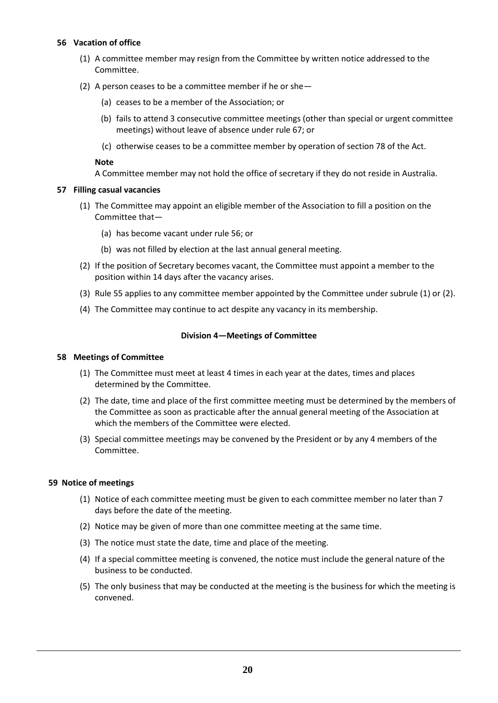#### **56 Vacation of office**

- (1) A committee member may resign from the Committee by written notice addressed to the Committee.
- (2) A person ceases to be a committee member if he or she—
	- (a) ceases to be a member of the Association; or
	- (b) fails to attend 3 consecutive committee meetings (other than special or urgent committee meetings) without leave of absence under rule 67; or
	- (c) otherwise ceases to be a committee member by operation of section 78 of the Act.

#### **Note**

A Committee member may not hold the office of secretary if they do not reside in Australia.

#### **57 Filling casual vacancies**

- (1) The Committee may appoint an eligible member of the Association to fill a position on the Committee that—
	- (a) has become vacant under rule 56; or
	- (b) was not filled by election at the last annual general meeting.
- (2) If the position of Secretary becomes vacant, the Committee must appoint a member to the position within 14 days after the vacancy arises.
- (3) Rule 55 applies to any committee member appointed by the Committee under subrule (1) or (2).
- (4) The Committee may continue to act despite any vacancy in its membership.

## **Division 4—Meetings of Committee**

#### **58 Meetings of Committee**

- (1) The Committee must meet at least 4 times in each year at the dates, times and places determined by the Committee.
- (2) The date, time and place of the first committee meeting must be determined by the members of the Committee as soon as practicable after the annual general meeting of the Association at which the members of the Committee were elected.
- (3) Special committee meetings may be convened by the President or by any 4 members of the Committee.

#### **59 Notice of meetings**

- (1) Notice of each committee meeting must be given to each committee member no later than 7 days before the date of the meeting.
- (2) Notice may be given of more than one committee meeting at the same time.
- (3) The notice must state the date, time and place of the meeting.
- (4) If a special committee meeting is convened, the notice must include the general nature of the business to be conducted.
- (5) The only business that may be conducted at the meeting is the business for which the meeting is convened.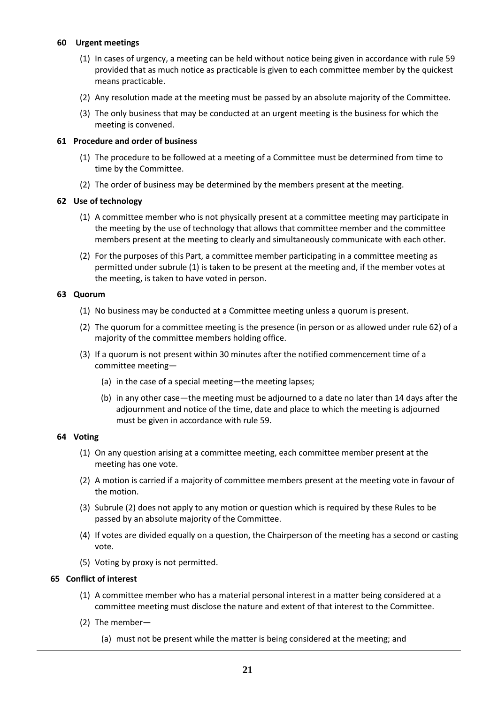#### **60 Urgent meetings**

- (1) In cases of urgency, a meeting can be held without notice being given in accordance with rule 59 provided that as much notice as practicable is given to each committee member by the quickest means practicable.
- (2) Any resolution made at the meeting must be passed by an absolute majority of the Committee.
- (3) The only business that may be conducted at an urgent meeting is the business for which the meeting is convened.

## **61 Procedure and order of business**

- (1) The procedure to be followed at a meeting of a Committee must be determined from time to time by the Committee.
- (2) The order of business may be determined by the members present at the meeting.

## **62 Use of technology**

- (1) A committee member who is not physically present at a committee meeting may participate in the meeting by the use of technology that allows that committee member and the committee members present at the meeting to clearly and simultaneously communicate with each other.
- (2) For the purposes of this Part, a committee member participating in a committee meeting as permitted under subrule (1) is taken to be present at the meeting and, if the member votes at the meeting, is taken to have voted in person.

## **63 Quorum**

- (1) No business may be conducted at a Committee meeting unless a quorum is present.
- (2) The quorum for a committee meeting is the presence (in person or as allowed under rule 62) of a majority of the committee members holding office.
- (3) If a quorum is not present within 30 minutes after the notified commencement time of a committee meeting—
	- (a) in the case of a special meeting—the meeting lapses;
	- (b) in any other case—the meeting must be adjourned to a date no later than 14 days after the adjournment and notice of the time, date and place to which the meeting is adjourned must be given in accordance with rule 59.

#### **64 Voting**

- (1) On any question arising at a committee meeting, each committee member present at the meeting has one vote.
- (2) A motion is carried if a majority of committee members present at the meeting vote in favour of the motion.
- (3) Subrule (2) does not apply to any motion or question which is required by these Rules to be passed by an absolute majority of the Committee.
- (4) If votes are divided equally on a question, the Chairperson of the meeting has a second or casting vote.
- (5) Voting by proxy is not permitted.

## **65 Conflict of interest**

- (1) A committee member who has a material personal interest in a matter being considered at a committee meeting must disclose the nature and extent of that interest to the Committee.
- (2) The member—
	- (a) must not be present while the matter is being considered at the meeting; and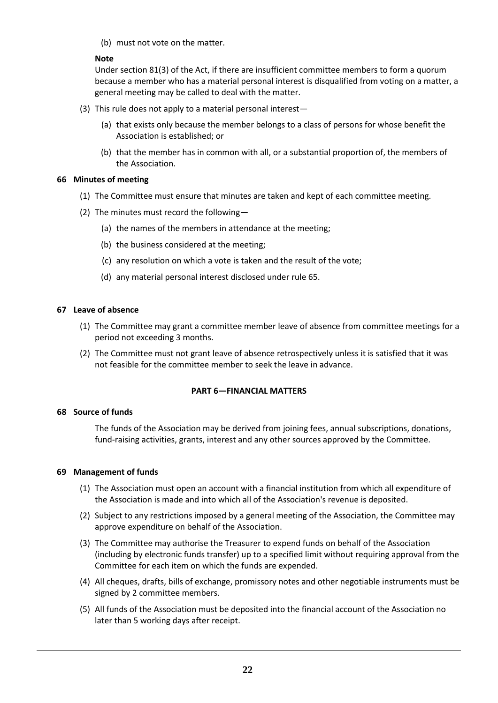(b) must not vote on the matter.

## **Note**

Under section 81(3) of the Act, if there are insufficient committee members to form a quorum because a member who has a material personal interest is disqualified from voting on a matter, a general meeting may be called to deal with the matter.

- (3) This rule does not apply to a material personal interest—
	- (a) that exists only because the member belongs to a class of persons for whose benefit the Association is established; or
	- (b) that the member has in common with all, or a substantial proportion of, the members of the Association.

## **66 Minutes of meeting**

- (1) The Committee must ensure that minutes are taken and kept of each committee meeting.
- (2) The minutes must record the following—
	- (a) the names of the members in attendance at the meeting;
	- (b) the business considered at the meeting;
	- (c) any resolution on which a vote is taken and the result of the vote;
	- (d) any material personal interest disclosed under rule 65.

## **67 Leave of absence**

- (1) The Committee may grant a committee member leave of absence from committee meetings for a period not exceeding 3 months.
- (2) The Committee must not grant leave of absence retrospectively unless it is satisfied that it was not feasible for the committee member to seek the leave in advance.

## **PART 6—FINANCIAL MATTERS**

#### **68 Source of funds**

The funds of the Association may be derived from joining fees, annual subscriptions, donations, fund-raising activities, grants, interest and any other sources approved by the Committee.

#### **69 Management of funds**

- (1) The Association must open an account with a financial institution from which all expenditure of the Association is made and into which all of the Association's revenue is deposited.
- (2) Subject to any restrictions imposed by a general meeting of the Association, the Committee may approve expenditure on behalf of the Association.
- (3) The Committee may authorise the Treasurer to expend funds on behalf of the Association (including by electronic funds transfer) up to a specified limit without requiring approval from the Committee for each item on which the funds are expended.
- (4) All cheques, drafts, bills of exchange, promissory notes and other negotiable instruments must be signed by 2 committee members.
- (5) All funds of the Association must be deposited into the financial account of the Association no later than 5 working days after receipt.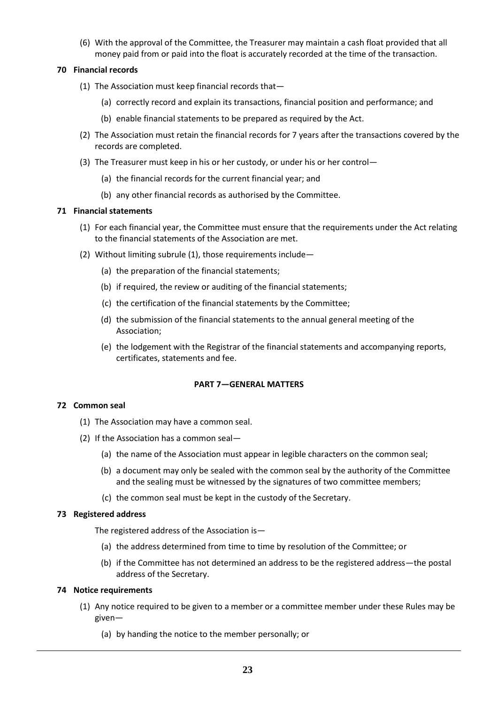(6) With the approval of the Committee, the Treasurer may maintain a cash float provided that all money paid from or paid into the float is accurately recorded at the time of the transaction.

## **70 Financial records**

- (1) The Association must keep financial records that—
	- (a) correctly record and explain its transactions, financial position and performance; and
	- (b) enable financial statements to be prepared as required by the Act.
- (2) The Association must retain the financial records for 7 years after the transactions covered by the records are completed.
- (3) The Treasurer must keep in his or her custody, or under his or her control—
	- (a) the financial records for the current financial year; and
	- (b) any other financial records as authorised by the Committee.

## **71 Financial statements**

- (1) For each financial year, the Committee must ensure that the requirements under the Act relating to the financial statements of the Association are met.
- (2) Without limiting subrule (1), those requirements include—
	- (a) the preparation of the financial statements;
	- (b) if required, the review or auditing of the financial statements;
	- (c) the certification of the financial statements by the Committee;
	- (d) the submission of the financial statements to the annual general meeting of the Association;
	- (e) the lodgement with the Registrar of the financial statements and accompanying reports, certificates, statements and fee.

#### **PART 7—GENERAL MATTERS**

#### **72 Common seal**

- (1) The Association may have a common seal.
- (2) If the Association has a common seal—
	- (a) the name of the Association must appear in legible characters on the common seal;
	- (b) a document may only be sealed with the common seal by the authority of the Committee and the sealing must be witnessed by the signatures of two committee members;
	- (c) the common seal must be kept in the custody of the Secretary.

#### **73 Registered address**

The registered address of the Association is—

- (a) the address determined from time to time by resolution of the Committee; or
- (b) if the Committee has not determined an address to be the registered address—the postal address of the Secretary.

#### **74 Notice requirements**

- (1) Any notice required to be given to a member or a committee member under these Rules may be given—
	- (a) by handing the notice to the member personally; or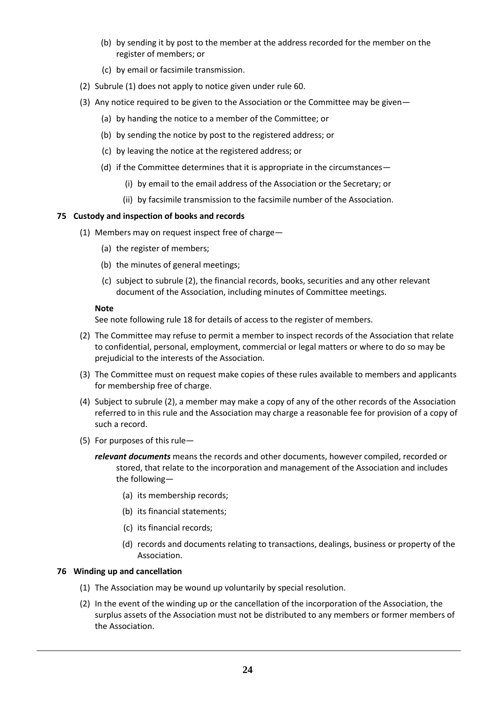- (b) by sending it by post to the member at the address recorded for the member on the register of members; or
- (c) by email or facsimile transmission.
- (2) Subrule (1) does not apply to notice given under rule 60.
- (3) Any notice required to be given to the Association or the Committee may be given—
	- (a) by handing the notice to a member of the Committee; or
	- (b) by sending the notice by post to the registered address; or
	- (c) by leaving the notice at the registered address; or
	- (d) if the Committee determines that it is appropriate in the circumstances—
		- (i) by email to the email address of the Association or the Secretary; or
		- (ii) by facsimile transmission to the facsimile number of the Association.

## **75 Custody and inspection of books and records**

- (1) Members may on request inspect free of charge—
	- (a) the register of members;
	- (b) the minutes of general meetings;
	- (c) subject to subrule (2), the financial records, books, securities and any other relevant document of the Association, including minutes of Committee meetings.

#### **Note**

See note following rule 18 for details of access to the register of members.

- (2) The Committee may refuse to permit a member to inspect records of the Association that relate to confidential, personal, employment, commercial or legal matters or where to do so may be prejudicial to the interests of the Association.
- (3) The Committee must on request make copies of these rules available to members and applicants for membership free of charge.
- (4) Subject to subrule (2), a member may make a copy of any of the other records of the Association referred to in this rule and the Association may charge a reasonable fee for provision of a copy of such a record.
- (5) For purposes of this rule—

*relevant documents* means the records and other documents, however compiled, recorded or stored, that relate to the incorporation and management of the Association and includes the following—

- (a) its membership records;
- (b) its financial statements;
- (c) its financial records;
- (d) records and documents relating to transactions, dealings, business or property of the Association.

#### **76 Winding up and cancellation**

- (1) The Association may be wound up voluntarily by special resolution.
- (2) In the event of the winding up or the cancellation of the incorporation of the Association, the surplus assets of the Association must not be distributed to any members or former members of the Association.